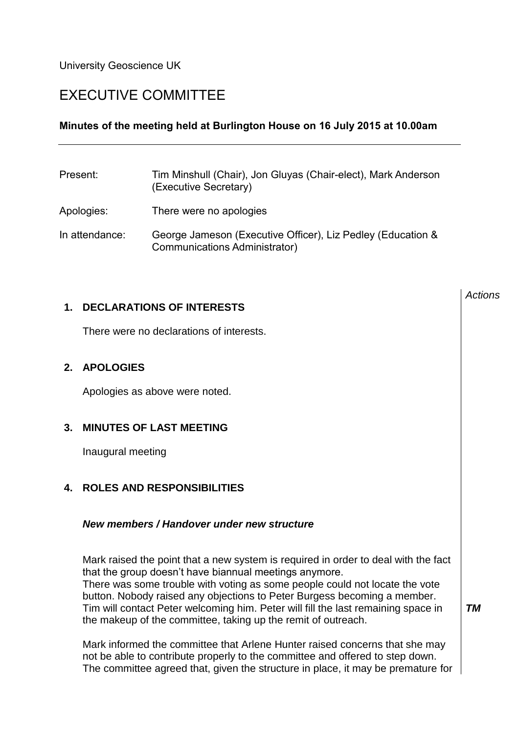University Geoscience UK

# EXECUTIVE COMMITTEE

# **Minutes of the meeting held at Burlington House on 16 July 2015 at 10.00am**

| Present:       | Tim Minshull (Chair), Jon Gluyas (Chair-elect), Mark Anderson<br>(Executive Secretary)       |
|----------------|----------------------------------------------------------------------------------------------|
| Apologies:     | There were no apologies                                                                      |
| In attendance: | George Jameson (Executive Officer), Liz Pedley (Education &<br>Communications Administrator) |

## **1. DECLARATIONS OF INTERESTS**

There were no declarations of interests.

# **2. APOLOGIES**

Apologies as above were noted.

# **3. MINUTES OF LAST MEETING**

Inaugural meeting

## **4. ROLES AND RESPONSIBILITIES**

#### *New members / Handover under new structure*

Mark raised the point that a new system is required in order to deal with the fact that the group doesn't have biannual meetings anymore. There was some trouble with voting as some people could not locate the vote button. Nobody raised any objections to Peter Burgess becoming a member. Tim will contact Peter welcoming him. Peter will fill the last remaining space in the makeup of the committee, taking up the remit of outreach.

Mark informed the committee that Arlene Hunter raised concerns that she may not be able to contribute properly to the committee and offered to step down. The committee agreed that, given the structure in place, it may be premature for

*Actions*

*TM*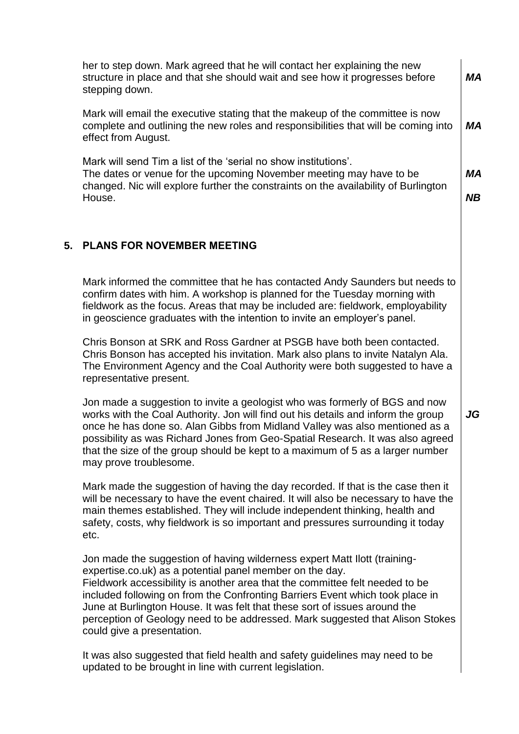her to step down. Mark agreed that he will contact her explaining the new structure in place and that she should wait and see how it progresses before stepping down. Mark will email the executive stating that the makeup of the committee is now complete and outlining the new roles and responsibilities that will be coming into effect from August. Mark will send Tim a list of the 'serial no show institutions'. The dates or venue for the upcoming November meeting may have to be changed. Nic will explore further the constraints on the availability of Burlington House. *MA MA MA NB* **5. PLANS FOR NOVEMBER MEETING** Mark informed the committee that he has contacted Andy Saunders but needs to confirm dates with him. A workshop is planned for the Tuesday morning with fieldwork as the focus. Areas that may be included are: fieldwork, employability in geoscience graduates with the intention to invite an employer's panel. Chris Bonson at SRK and Ross Gardner at PSGB have both been contacted. Chris Bonson has accepted his invitation. Mark also plans to invite Natalyn Ala. The Environment Agency and the Coal Authority were both suggested to have a representative present. Jon made a suggestion to invite a geologist who was formerly of BGS and now works with the Coal Authority. Jon will find out his details and inform the group once he has done so. Alan Gibbs from Midland Valley was also mentioned as a possibility as was Richard Jones from Geo-Spatial Research. It was also agreed that the size of the group should be kept to a maximum of 5 as a larger number may prove troublesome. Mark made the suggestion of having the day recorded. If that is the case then it will be necessary to have the event chaired. It will also be necessary to have the main themes established. They will include independent thinking, health and safety, costs, why fieldwork is so important and pressures surrounding it today etc. Jon made the suggestion of having wilderness expert Matt Ilott (trainingexpertise.co.uk) as a potential panel member on the day. Fieldwork accessibility is another area that the committee felt needed to be included following on from the Confronting Barriers Event which took place in June at Burlington House. It was felt that these sort of issues around the perception of Geology need to be addressed. Mark suggested that Alison Stokes *JG*

It was also suggested that field health and safety guidelines may need to be updated to be brought in line with current legislation.

could give a presentation.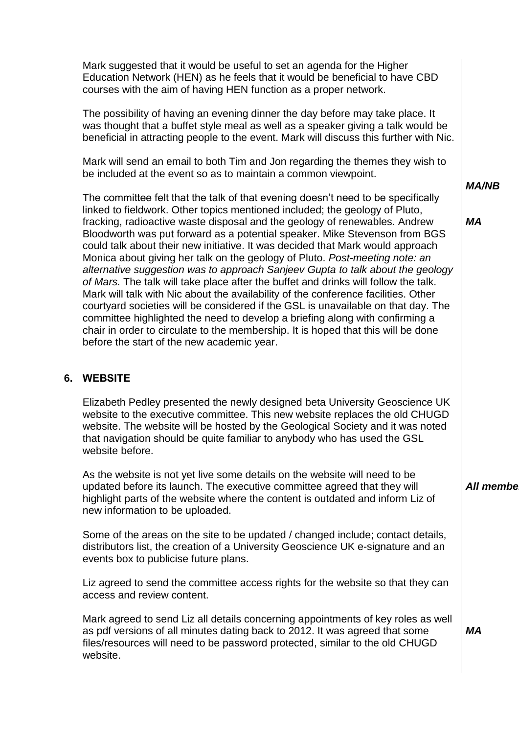Mark suggested that it would be useful to set an agenda for the Higher Education Network (HEN) as he feels that it would be beneficial to have CBD courses with the aim of having HEN function as a proper network.

The possibility of having an evening dinner the day before may take place. It was thought that a buffet style meal as well as a speaker giving a talk would be beneficial in attracting people to the event. Mark will discuss this further with Nic.

Mark will send an email to both Tim and Jon regarding the themes they wish to be included at the event so as to maintain a common viewpoint.

The committee felt that the talk of that evening doesn't need to be specifically linked to fieldwork. Other topics mentioned included; the geology of Pluto, fracking, radioactive waste disposal and the geology of renewables. Andrew Bloodworth was put forward as a potential speaker. Mike Stevenson from BGS could talk about their new initiative. It was decided that Mark would approach Monica about giving her talk on the geology of Pluto. *Post-meeting note: an alternative suggestion was to approach Sanjeev Gupta to talk about the geology of Mars.* The talk will take place after the buffet and drinks will follow the talk. Mark will talk with Nic about the availability of the conference facilities. Other courtyard societies will be considered if the GSL is unavailable on that day. The committee highlighted the need to develop a briefing along with confirming a chair in order to circulate to the membership. It is hoped that this will be done before the start of the new academic year.

## **6. WEBSITE**

Elizabeth Pedley presented the newly designed beta University Geoscience UK website to the executive committee. This new website replaces the old CHUGD website. The website will be hosted by the Geological Society and it was noted that navigation should be quite familiar to anybody who has used the GSL website before.

As the website is not yet live some details on the website will need to be updated before its launch. The executive committee agreed that they will highlight parts of the website where the content is outdated and inform Liz of new information to be uploaded.

Some of the areas on the site to be updated / changed include; contact details, distributors list, the creation of a University Geoscience UK e-signature and an events box to publicise future plans.

Liz agreed to send the committee access rights for the website so that they can access and review content.

Mark agreed to send Liz all details concerning appointments of key roles as well as pdf versions of all minutes dating back to 2012. It was agreed that some files/resources will need to be password protected, similar to the old CHUGD website.

*MA/NB*

*MA*

**All member** 

*MA*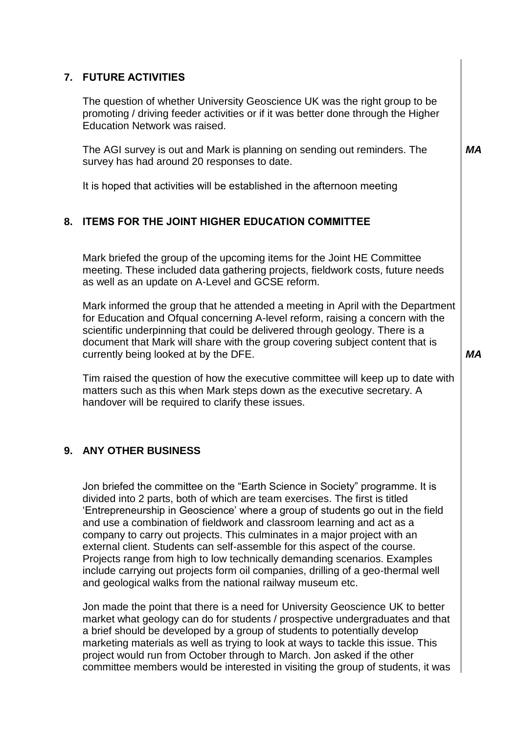# **7. FUTURE ACTIVITIES**

The question of whether University Geoscience UK was the right group to be promoting / driving feeder activities or if it was better done through the Higher Education Network was raised.

The AGI survey is out and Mark is planning on sending out reminders. The survey has had around 20 responses to date.

It is hoped that activities will be established in the afternoon meeting

# **8. ITEMS FOR THE JOINT HIGHER EDUCATION COMMITTEE**

Mark briefed the group of the upcoming items for the Joint HE Committee meeting. These included data gathering projects, fieldwork costs, future needs as well as an update on A-Level and GCSE reform.

Mark informed the group that he attended a meeting in April with the Department for Education and Ofqual concerning A-level reform, raising a concern with the scientific underpinning that could be delivered through geology. There is a document that Mark will share with the group covering subject content that is currently being looked at by the DFE.

Tim raised the question of how the executive committee will keep up to date with matters such as this when Mark steps down as the executive secretary. A handover will be required to clarify these issues.

## **9. ANY OTHER BUSINESS**

Jon briefed the committee on the "Earth Science in Society" programme. It is divided into 2 parts, both of which are team exercises. The first is titled 'Entrepreneurship in Geoscience' where a group of students go out in the field and use a combination of fieldwork and classroom learning and act as a company to carry out projects. This culminates in a major project with an external client. Students can self-assemble for this aspect of the course. Projects range from high to low technically demanding scenarios. Examples include carrying out projects form oil companies, drilling of a geo-thermal well and geological walks from the national railway museum etc.

Jon made the point that there is a need for University Geoscience UK to better market what geology can do for students / prospective undergraduates and that a brief should be developed by a group of students to potentially develop marketing materials as well as trying to look at ways to tackle this issue. This project would run from October through to March. Jon asked if the other committee members would be interested in visiting the group of students, it was *MA*

*MA*